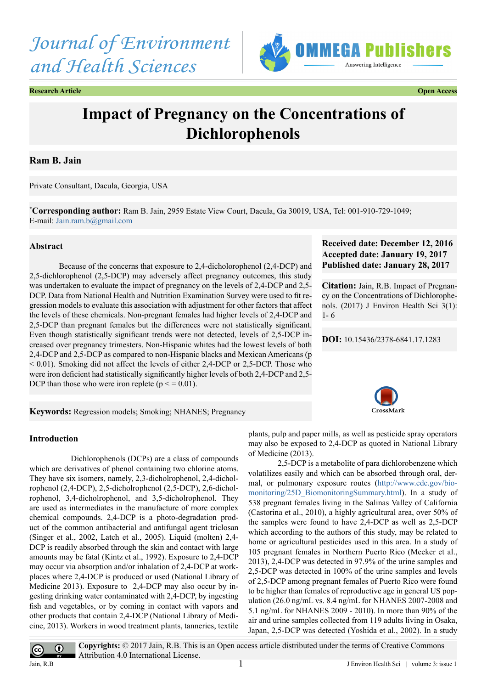



**Research Article Open Access**

# **Impact of Pregnancy on the Concentrations of Dichlorophenols**

# **Ram B. Jain**

Private Consultant, Dacula, Georgia, USA

**\* Corresponding author:** Ram B. Jain, 2959 Estate View Court, Dacula, Ga 30019, USA, Tel: 001-910-729-1049; E-mail: [Jain.ram.b@gmail.com](mailto:Jain.ram.b@gmail.com)

# **Abstract**

Because of the concerns that exposure to 2,4-dicholorophenol (2,4-DCP) and 2,5-dichlorophenol (2,5-DCP) may adversely affect pregnancy outcomes, this study was undertaken to evaluate the impact of pregnancy on the levels of 2,4-DCP and 2,5- DCP. Data from National Health and Nutrition Examination Survey were used to fit regression models to evaluate this association with adjustment for other factors that affect the levels of these chemicals. Non-pregnant females had higher levels of 2,4-DCP and 2,5-DCP than pregnant females but the differences were not statistically significant. Even though statistically significant trends were not detected, levels of 2,5-DCP increased over pregnancy trimesters. Non-Hispanic whites had the lowest levels of both 2,4-DCP and 2,5-DCP as compared to non-Hispanic blacks and Mexican Americans (p  $< 0.01$ ). Smoking did not affect the levels of either 2,4-DCP or 2,5-DCP. Those who were iron deficient had statistically significantly higher levels of both 2,4-DCP and 2,5- DCP than those who were iron replete ( $p \le 0.01$ ).

# **Received date: December 12, 2016 Accepted date: January 19, 2017 Published date: January 28, 2017**

**Citation:** Jain, R.B. Impact of Pregnancy on the Concentrations of Dichlorophenols. (2017) J Environ Health Sci 3(1): 1- 6

**DOI:** [10.15436/2378-6841.17.](http://www.dx.doi.org/10.15436/2378-6841.17.1283)1283

**Keywords:** Regression models; Smoking; NHANES; Pregnancy

### **Introduction**

 Dichlorophenols (DCPs) are a class of compounds which are derivatives of phenol containing two chlorine atoms. They have six isomers, namely, 2,3-dicholrophenol, 2,4-dicholrophenol (2,4-DCP), 2,5-dicholrophenol (2,5-DCP), 2,6-dicholrophenol, 3,4-dicholrophenol, and 3,5-dicholrophenol. They are used as intermediates in the manufacture of more complex chemical compounds. 2,4-DCP is a photo-degradation product of the common antibacterial and antifungal agent triclosan (Singer et al., 2002, Latch et al., 2005). Liquid (molten) 2,4- DCP is readily absorbed through the skin and contact with large amounts may be fatal (Kintz et al., 1992). Exposure to 2,4-DCP may occur via absorption and/or inhalation of 2,4-DCP at workplaces where 2,4-DCP is produced or used (National Library of Medicine 2013). Exposure to 2,4-DCP may also occur by ingesting drinking water contaminated with 2,4-DCP, by ingesting fish and vegetables, or by coming in contact with vapors and other products that contain 2,4-DCP (National Library of Medicine, 2013). Workers in wood treatment plants, tanneries, textile

plants, pulp and paper mills, as well as pesticide spray operators may also be exposed to 2,4-DCP as quoted in National Library of Medicine (2013).

2,5-DCP is a metabolite of para dichlorobenzene which volatilizes easily and which can be absorbed through oral, dermal, or pulmonary exposure routes ([http://www.cdc.gov/bio](http://www.cdc.gov/biomonitoring/25D_BiomonitoringSummary.html)[monitoring/25D\\_BiomonitoringSummary.html](http://www.cdc.gov/biomonitoring/25D_BiomonitoringSummary.html)). In a study of 538 pregnant females living in the Salinas Valley of California (Castorina et al., 2010), a highly agricultural area, over 50% of the samples were found to have 2,4-DCP as well as 2,5-DCP which according to the authors of this study, may be related to home or agricultural pesticides used in this area. In a study of 105 pregnant females in Northern Puerto Rico (Meeker et al., 2013), 2,4-DCP was detected in 97.9% of the urine samples and 2,5-DCP was detected in 100% of the urine samples and levels of 2,5-DCP among pregnant females of Puerto Rico were found to be higher than females of reproductive age in general US population (26.0 ng/mL vs. 8.4 ng/mL for NHANES 2007-2008 and 5.1 ng/mL for NHANES 2009 - 2010). In more than 90% of the air and urine samples collected from 119 adults living in Osaka, Japan, 2,5-DCP was detected (Yoshida et al., 2002). In a study

 $\bigcirc$  $\overline{(\text{cc})}$ 

**Copyrights:** © 2017 Jain, R.B. This is an Open access article distributed under the terms of Creative Commons Attribution 4.0 International License. Jain, R.B  $1$ 

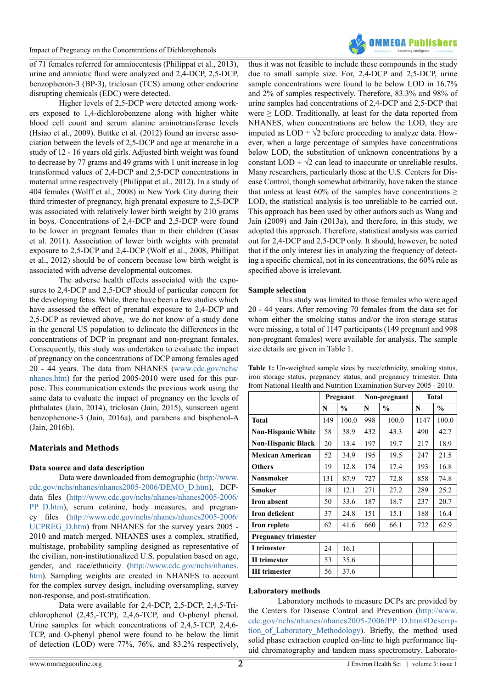of 71 females referred for amniocentesis (Philippat et al., 2013), urine and amniotic fluid were analyzed and 2,4-DCP, 2,5-DCP, benzophenon-3 (BP-3), triclosan (TCS) among other endocrine disrupting chemicals (EDC) were detected.

Higher levels of 2,5-DCP were detected among workers exposed to 1,4-dichlorobenzene along with higher white blood cell count and serum alanine aminotransferase levels (Hsiao et al., 2009). Buttke et al. (2012) found an inverse association between the levels of 2,5-DCP and age at menarche in a study of 12 - 16 years old girls. Adjusted birth weight was found to decrease by 77 grams and 49 grams with 1 unit increase in log transformed values of 2,4-DCP and 2,5-DCP concentrations in maternal urine respectively (Philippat et al., 2012). In a study of 404 females (Wolff et al., 2008) in New York City during their third trimester of pregnancy, high prenatal exposure to 2,5-DCP was associated with relatively lower birth weight by 210 grams in boys. Concentrations of 2,4-DCP and 2,5-DCP were found to be lower in pregnant females than in their children (Casas et al. 2011). Association of lower birth weights with prenatal exposure to 2,5-DCP and 2,4-DCP (Wolf et al., 2008, Phillipat et al., 2012) should be of concern because low birth weight is associated with adverse developmental outcomes.

The adverse health effects associated with the exposures to 2,4-DCP and 2,5-DCP should of particular concern for the developing fetus. While, there have been a few studies which have assessed the effect of prenatal exposure to 2,4-DCP and 2,5-DCP as reviewed above, we do not know of a study done in the general US population to delineate the differences in the concentrations of DCP in pregnant and non-pregnant females. Consequently, this study was undertaken to evaluate the impact of pregnancy on the concentrations of DCP among females aged 20 - 44 years. The data from NHANES ([www.cdc.gov/nchs/](http://www.cdc.gov/nchs/nhanes.htm) [nhanes.htm\)](http://www.cdc.gov/nchs/nhanes.htm) for the period 2005-2010 were used for this purpose. This communication extends the previous work using the same data to evaluate the impact of pregnancy on the levels of phthalates (Jain, 2014), triclosan (Jain, 2015), sunscreen agent benzophenone-3 (Jain, 2016a), and parabens and bisphenol-A (Jain, 2016b).

# **Materials and Methods**

### **Data source and data description**

Data were downloaded from demographic [\(http://www.](http://www.cdc.gov/nchs/nhanes/nhanes2005-2006/DEMO_D.htm) [cdc.gov/nchs/nhanes/nhanes2005-2006/DEMO\\_D.htm](http://www.cdc.gov/nchs/nhanes/nhanes2005-2006/DEMO_D.htm)), DCPdata files ([http://www.cdc.gov/nchs/nhanes/nhanes2005-2006/](http://www.cdc.gov/nchs/nhanes/nhanes2005-2006/PP_D.htm) [PP\\_D.htm](http://www.cdc.gov/nchs/nhanes/nhanes2005-2006/PP_D.htm)), serum cotinine, body measures, and pregnancy files ([http://www.cdc.gov/nchs/nhanes/nhanes2005-2006/](http://www.cdc.gov/nchs/nhanes/nhanes2005-2006/UCPREG_D.htm) [UCPREG\\_D.htm\)](http://www.cdc.gov/nchs/nhanes/nhanes2005-2006/UCPREG_D.htm) from NHANES for the survey years 2005 - 2010 and match merged. NHANES uses a complex, stratified, multistage, probability sampling designed as representative of the civilian, non-institutionalized U.S. population based on age, gender, and race/ethnicity ([http://www.cdc.gov/nchs/nhanes.](http://www.cdc.gov/nchs/nhanes.htm) [htm\)](http://www.cdc.gov/nchs/nhanes.htm). Sampling weights are created in NHANES to account for the complex survey design, including oversampling, survey non-response, and post-stratification.

Data were available for 2,4-DCP, 2,5-DCP, 2,4,5-Trichlorophenol (2,45,-TCP), 2,4,6-TCP, and O-phenyl phenol. Urine samples for which concentrations of 2,4,5-TCP, 2,4,6- TCP, and O-phenyl phenol were found to be below the limit of detection (LOD) were 77%, 76%, and 83.2% respectively,



thus it was not feasible to include these compounds in the study due to small sample size. For, 2,4-DCP and 2,5-DCP, urine sample concentrations were found to be below LOD in 16.7% and 2% of samples respectively. Therefore, 83.3% and 98% of urine samples had concentrations of 2,4-DCP and 2,5-DCP that were  $\geq$  LOD. Traditionally, at least for the data reported from NHANES, when concentrations are below the LOD, they are imputed as  $LOD \div \sqrt{2}$  before proceeding to analyze data. However, when a large percentage of samples have concentrations below LOD, the substitution of unknown concentrations by a constant LOD  $\div \sqrt{2}$  can lead to inaccurate or unreliable results. Many researchers, particularly those at the U.S. Centers for Disease Control, though somewhat arbitrarily, have taken the stance that unless at least 60% of the samples have concentrations  $\geq$ LOD, the statistical analysis is too unreliable to be carried out. This approach has been used by other authors such as Wang and Jain (2009) and Jain (2013a), and therefore, in this study, we adopted this approach. Therefore, statistical analysis was carried out for 2,4-DCP and 2,5-DCP only. It should, however, be noted that if the only interest lies in analyzing the frequency of detecting a specific chemical, not in its concentrations, the 60% rule as specified above is irrelevant.

#### **Sample selection**

This study was limited to those females who were aged 20 - 44 years. After removing 70 females from the data set for whom either the smoking status and/or the iron storage status were missing, a total of 1147 participants (149 pregnant and 998 non-pregnant females) were available for analysis. The sample size details are given in Table 1.

|  |  |  | <b>Table 1:</b> Un-weighted sample sizes by race/ethnicity, smoking status, |  |
|--|--|--|-----------------------------------------------------------------------------|--|
|  |  |  | iron storage status, pregnancy status, and pregnancy trimester. Data        |  |
|  |  |  | from National Health and Nutrition Examination Survey 2005 - 2010.          |  |

|                            | Pregnant |               | Non-pregnant |               | <b>Total</b> |               |
|----------------------------|----------|---------------|--------------|---------------|--------------|---------------|
|                            | N        | $\frac{0}{0}$ | N            | $\frac{0}{0}$ | N            | $\frac{0}{0}$ |
| <b>Total</b>               | 149      | 100.0         | 998          | 100.0         | 1147         | 100.0         |
| <b>Non-Hispanic White</b>  | 58       | 38.9          | 432          | 43.3          | 490          | 42.7          |
| <b>Non-Hispanic Black</b>  | 20       | 13.4          | 197          | 19.7          | 217          | 18.9          |
| <b>Mexican American</b>    | 52       | 34.9          | 195          | 19.5          | 247          | 21.5          |
| <b>Others</b>              | 19       | 12.8          | 174          | 17.4          | 193          | 16.8          |
| Nonsmoker                  | 131      | 87.9          | 727          | 72.8          | 858          | 74.8          |
| Smoker                     | 18       | 12.1          | 271          | 27.2          | 289          | 25.2          |
| <b>Iron absent</b>         | 50       | 33.6          | 187          | 18.7          | 237          | 20.7          |
| <b>Iron deficient</b>      | 37       | 24.8          | 151          | 15.1          | 188          | 16.4          |
| Iron replete               | 62       | 41.6          | 660          | 66.1          | 722          | 62.9          |
| <b>Pregnancy trimester</b> |          |               |              |               |              |               |
| I trimester                | 24       | 16.1          |              |               |              |               |
| <b>II</b> trimester        | 53       | 35.6          |              |               |              |               |
| <b>III</b> trimester       | 56       | 37.6          |              |               |              |               |

#### **Laboratory methods**

Laboratory methods to measure DCPs are provided by the Centers for Disease Control and Prevention ([http://www.](http://www.cdc.gov/nchs/nhanes/nhanes2005-2006/PP_D.htm#Description_of_Laboratory_Methodology) [cdc.gov/nchs/nhanes/nhanes2005-2006/PP\\_D.htm#Descrip](http://www.cdc.gov/nchs/nhanes/nhanes2005-2006/PP_D.htm#Description_of_Laboratory_Methodology)[tion\\_of\\_Laboratory\\_Methodology](http://www.cdc.gov/nchs/nhanes/nhanes2005-2006/PP_D.htm#Description_of_Laboratory_Methodology)). Briefly, the method used solid phase extraction coupled on-line to high performance liquid chromatography and tandem mass spectrometry. Laborato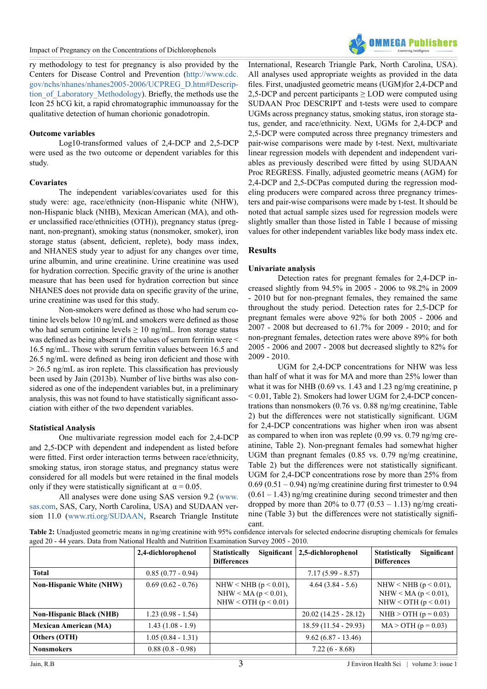ry methodology to test for pregnancy is also provided by the Centers for Disease Control and Prevention ([http://www.cdc.](http://www.cdc.gov/nchs/nhanes/nhanes2005-2006/UCPREG_D.htm#Description_of_Laboratory_Methodology) [gov/nchs/nhanes/nhanes2005-2006/UCPREG\\_D.htm#Descrip](http://www.cdc.gov/nchs/nhanes/nhanes2005-2006/UCPREG_D.htm#Description_of_Laboratory_Methodology)tion of Laboratory Methodology). Briefly, the methods use the Icon 25 hCG kit, a rapid chromatographic immunoassay for the qualitative detection of human chorionic gonadotropin.

### **Outcome variables**

Log10-transformed values of 2,4-DCP and 2,5-DCP were used as the two outcome or dependent variables for this study.

# **Covariates**

The independent variables/covariates used for this study were: age, race/ethnicity (non-Hispanic white (NHW), non-Hispanic black (NHB), Mexican American (MA), and other unclassified race/ethnicities (OTH)), pregnancy status (pregnant, non-pregnant), smoking status (nonsmoker, smoker), iron storage status (absent, deficient, replete), body mass index, and NHANES study year to adjust for any changes over time, urine albumin, and urine creatinine. Urine creatinine was used for hydration correction. Specific gravity of the urine is another measure that has been used for hydration correction but since NHANES does not provide data on specific gravity of the urine, urine creatinine was used for this study.

Non-smokers were defined as those who had serum cotinine levels below 10 ng/mL and smokers were defined as those who had serum cotinine levels  $\geq 10$  ng/mL. Iron storage status was defined as being absent if the values of serum ferritin were < 16.5 ng/mL. Those with serum ferritin values between 16.5 and 26.5 ng/mL were defined as being iron deficient and those with  $> 26.5$  ng/mL as iron replete. This classification has previously been used by Jain (2013b). Number of live births was also considered as one of the independent variables but, in a preliminary analysis, this was not found to have statistically significant association with either of the two dependent variables.

### **Statistical Analysis**

One multivariate regression model each for 2,4-DCP and 2,5-DCP with dependent and independent as listed before were fitted. First order interaction terms between race/ethnicity, smoking status, iron storage status, and pregnancy status were considered for all models but were retained in the final models only if they were statistically significant at  $\alpha = 0.05$ .

All analyses were done using SAS version 9.2 [\(www.](http://www.sas.com) [sas.com,](http://www.sas.com) SAS, Cary, North Carolina, USA) and SUDAAN version 11.0 [\(www.rti.org/SUDAAN,](http://www.rti.org/SUDAAN) Rsearch Triangle Institute



International, Research Triangle Park, North Carolina, USA). All analyses used appropriate weights as provided in the data files. First, unadjusted geometric means (UGM)for 2,4-DCP and 2,5-DCP and percent participants  $\geq$  LOD were computed using SUDAAN Proc DESCRIPT and t-tests were used to compare UGMs across pregnancy status, smoking status, iron storage status, gender, and race/ethnicity. Next, UGMs for 2,4-DCP and 2,5-DCP were computed across three pregnancy trimesters and pair-wise comparisons were made by t-test. Next, multivariate linear regression models with dependent and independent variables as previously described were fitted by using SUDAAN Proc REGRESS. Finally, adjusted geometric means (AGM) for 2,4-DCP and 2,5-DCPas computed during the regression modeling producers were compared across three pregnancy trimesters and pair-wise comparisons were made by t-test. It should be noted that actual sample sizes used for regression models were slightly smaller than those listed in Table 1 because of missing values for other independent variables like body mass index etc.

# **Results**

# **Univariate analysis**

Detection rates for pregnant females for 2,4-DCP increased slightly from 94.5% in 2005 - 2006 to 98.2% in 2009 - 2010 but for non-pregnant females, they remained the same throughout the study period. Detection rates for 2,5-DCP for pregnant females were above 92% for both 2005 - 2006 and 2007 - 2008 but decreased to 61.7% for 2009 - 2010; and for non-pregnant females, detection rates were above 89% for both 2005 - 2006 and 2007 - 2008 but decreased slightly to 82% for 2009 - 2010.

UGM for 2,4-DCP concentrations for NHW was less than half of what it was for MA and more than 25% lower than what it was for NHB (0.69 vs. 1.43 and 1.23 ng/mg creatinine, p < 0.01, Table 2). Smokers had lower UGM for 2,4-DCP concentrations than nonsmokers (0.76 vs. 0.88 ng/mg creatinine, Table 2) but the differences were not statistically significant. UGM for 2,4-DCP concentrations was higher when iron was absent as compared to when iron was replete (0.99 vs. 0.79 ng/mg creatinine, Table 2). Non-pregnant females had somewhat higher UGM than pregnant females (0.85 vs. 0.79 ng/mg creatinine, Table 2) but the differences were not statistically significant. UGM for 2,4-DCP concentrations rose by more than 25% from  $0.69$  ( $0.51 - 0.94$ ) ng/mg creatinine during first trimester to  $0.94$  $(0.61 - 1.43)$  ng/mg creatinine during second trimester and then dropped by more than 20% to  $0.77$   $(0.53 - 1.13)$  ng/mg creatinine (Table 3) but the differences were not statistically significant.

**Table 2:** Unadjusted geometric means in ng/mg creatinine with 95% confidence intervals for selected endocrine disrupting chemicals for females aged 20 - 44 years. Data from National Health and Nutrition Examination Survey 2005 - 2010.

|                                 | 2,4-dichlorophenol  | Significant<br><b>Statistically</b><br><b>Differences</b>                       | 2,5-dichlorophenol     | Significant<br><b>Statistically</b><br><b>Differences</b>                       |
|---------------------------------|---------------------|---------------------------------------------------------------------------------|------------------------|---------------------------------------------------------------------------------|
| <b>Total</b>                    | $0.85(0.77 - 0.94)$ |                                                                                 | $7.17(5.99 - 8.57)$    |                                                                                 |
| <b>Non-Hispanic White (NHW)</b> | $0.69(0.62 - 0.76)$ | NHW < NHB ( $p < 0.01$ ),<br>NHW < MA ( $p < 0.01$ ),<br>NHW < OTH $(p < 0.01)$ | $4.64(3.84 - 5.6)$     | NHW < NHB ( $p < 0.01$ ),<br>NHW < MA ( $p < 0.01$ ),<br>NHW < OTH $(p < 0.01)$ |
| <b>Non-Hispanic Black (NHB)</b> | $1.23(0.98 - 1.54)$ |                                                                                 | $20.02(14.25 - 28.12)$ | NHB > OTH $(p = 0.03)$                                                          |
| <b>Mexican American (MA)</b>    | $1.43(1.08 - 1.9)$  |                                                                                 | $18.59(11.54 - 29.93)$ | $MA > OTH (p = 0.03)$                                                           |
| Others (OTH)                    | $1.05(0.84 - 1.31)$ |                                                                                 | $9.62(6.87 - 13.46)$   |                                                                                 |
| <b>Nonsmokers</b>               | $0.88(0.8 - 0.98)$  |                                                                                 | $7.22(6 - 8.68)$       |                                                                                 |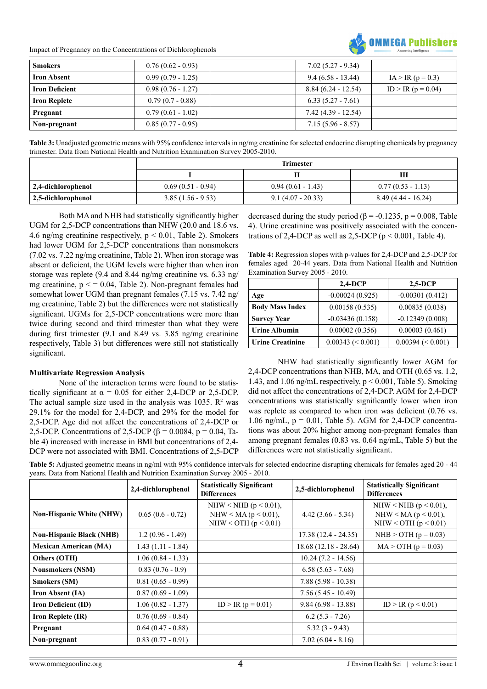Impact of Pregnancy on the Concentrations of Dichlorophenols



| <b>Smokers</b>        | $0.76(0.62 - 0.93)$ | $7.02(5.27 - 9.34)$  |                      |
|-----------------------|---------------------|----------------------|----------------------|
| <b>Iron Absent</b>    | $0.99(0.79 - 1.25)$ | $9.4(6.58 - 13.44)$  | $IA > IR (p = 0.3)$  |
| <b>Iron Deficient</b> | $0.98(0.76 - 1.27)$ | $8.84(6.24 - 12.54)$ | $ID > IR (p = 0.04)$ |
| <b>Iron Replete</b>   | $0.79(0.7 - 0.88)$  | $6.33(5.27 - 7.61)$  |                      |
| Pregnant              | $0.79(0.61 - 1.02)$ | 7.42 (4.39 - 12.54)  |                      |
| Non-pregnant          | $0.85(0.77-0.95)$   | $7.15(5.96 - 8.57)$  |                      |

**Table 3:** Unadjusted geometric means with 95% confidence intervals in ng/mg creatinine for selected endocrine disrupting chemicals by pregnancy trimester. Data from National Health and Nutrition Examination Survey 2005-2010.

|                    | <b>Trimester</b>    |                     |                      |  |
|--------------------|---------------------|---------------------|----------------------|--|
|                    |                     |                     | Ш                    |  |
| 2,4-dichlorophenol | $0.69(0.51 - 0.94)$ | $0.94(0.61 - 1.43)$ | $0.77(0.53 - 1.13)$  |  |
| 2,5-dichlorophenol | $3.85(1.56 - 9.53)$ | $9.1(4.07 - 20.33)$ | $8.49(4.44 - 16.24)$ |  |

Both MA and NHB had statistically significantly higher UGM for 2,5-DCP concentrations than NHW (20.0 and 18.6 vs. 4.6 ng/mg creatinine respectively,  $p < 0.01$ , Table 2). Smokers had lower UGM for 2,5-DCP concentrations than nonsmokers (7.02 vs. 7.22 ng/mg creatinine, Table 2). When iron storage was absent or deficient, the UGM levels were higher than when iron storage was replete (9.4 and 8.44 ng/mg creatinine vs. 6.33 ng/ mg creatinine,  $p \le 0.04$ , Table 2). Non-pregnant females had somewhat lower UGM than pregnant females (7.15 vs. 7.42 ng/ mg creatinine, Table 2) but the differences were not statistically significant. UGMs for 2,5-DCP concentrations were more than twice during second and third trimester than what they were during first trimester (9.1 and 8.49 vs. 3.85 ng/mg creatinine respectively, Table 3) but differences were still not statistically significant.

# **Multivariate Regression Analysis**

None of the interaction terms were found to be statistically significant at  $\alpha = 0.05$  for either 2,4-DCP or 2,5-DCP. The actual sample size used in the analysis was 1035.  $\mathbb{R}^2$  was 29.1% for the model for 2,4-DCP, and 29% for the model for 2,5-DCP. Age did not affect the concentrations of 2,4-DCP or 2,5-DCP. Concentrations of 2,5-DCP ( $\beta$  = 0.0084, p = 0.04, Table 4) increased with increase in BMI but concentrations of 2,4- DCP were not associated with BMI. Concentrations of 2,5-DCP

decreased during the study period ( $\beta$  = -0.1235, p = 0.008, Table 4). Urine creatinine was positively associated with the concentrations of 2,4-DCP as well as 2,5-DCP ( $p < 0.001$ , Table 4).

**Table 4:** Regression slopes with p-values for 2,4-DCP and 2,5-DCP for females aged 20-44 years. Data from National Health and Nutrition Examination Survey 2005 - 2010.

|                         | $2,4-DCP$            | $2,5-DCP$           |
|-------------------------|----------------------|---------------------|
| Age                     | $-0.00024(0.925)$    | $-0.00301(0.412)$   |
| <b>Body Mass Index</b>  | 0.00158(0.535)       | 0.00835(0.038)      |
| <b>Survey Year</b>      | $-0.03436(0.158)$    | $-0.12349(0.008)$   |
| <b>Urine Albumin</b>    | 0.00002(0.356)       | 0.00003(0.461)      |
| <b>Urine Creatinine</b> | $0.00343 \leq 0.001$ | $0.00394 \le 0.001$ |

NHW had statistically significantly lower AGM for 2,4-DCP concentrations than NHB, MA, and OTH (0.65 vs. 1.2, 1.43, and 1.06 ng/mL respectively,  $p \le 0.001$ , Table 5). Smoking did not affect the concentrations of 2,4-DCP. AGM for 2,4-DCP concentrations was statistically significantly lower when iron was replete as compared to when iron was deficient  $(0.76 \text{ vs.})$ 1.06 ng/mL,  $p = 0.01$ , Table 5). AGM for 2,4-DCP concentrations was about 20% higher among non-pregnant females than among pregnant females (0.83 vs. 0.64 ng/mL, Table 5) but the differences were not statistically significant.

**Table 5:** Adjusted geometric means in ng/ml with 95% confidence intervals for selected endocrine disrupting chemicals for females aged 20 - 44 years. Data from National Health and Nutrition Examination Survey 2005 - 2010.

|                                 | 2,4-dichlorophenol  | <b>Statistically Significant</b><br><b>Differences</b>                          | 2,5-dichlorophenol     | <b>Statistically Significant</b><br><b>Differences</b>                         |
|---------------------------------|---------------------|---------------------------------------------------------------------------------|------------------------|--------------------------------------------------------------------------------|
| <b>Non-Hispanic White (NHW)</b> | $0.65(0.6 - 0.72)$  | NHW < NHB ( $p < 0.01$ ),<br>NHW < MA ( $p < 0.01$ ).<br>NHW < OTH $(p < 0.01)$ | $4.42(3.66 - 5.34)$    | NHW < NHB $(p < 0.01)$ ,<br>NHW < MA ( $p < 0.01$ ),<br>NHW < OTH $(p < 0.01)$ |
| <b>Non-Hispanic Black (NHB)</b> | $1.2(0.96 - 1.49)$  |                                                                                 | $17.38(12.4 - 24.35)$  | $NHB > OTH (p = 0.03)$                                                         |
| <b>Mexican American (MA)</b>    | $1.43(1.11 - 1.84)$ |                                                                                 | $18.68(12.18 - 28.64)$ | $MA > OTH (p = 0.03)$                                                          |
| Others (OTH)                    | $1.06(0.84 - 1.33)$ |                                                                                 | $10.24(7.2 - 14.56)$   |                                                                                |
| <b>Nonsmokers (NSM)</b>         | $0.83(0.76-0.9)$    |                                                                                 | $6.58(5.63 - 7.68)$    |                                                                                |
| <b>Smokers (SM)</b>             | $0.81(0.65 - 0.99)$ |                                                                                 | $7.88(5.98 - 10.38)$   |                                                                                |
| <b>Iron Absent (IA)</b>         | $0.87(0.69 - 1.09)$ |                                                                                 | $7.56(5.45 - 10.49)$   |                                                                                |
| <b>Iron Deficient (ID)</b>      | $1.06(0.82 - 1.37)$ | ID > IR ( $p = 0.01$ )                                                          | $9.84(6.98 - 13.88)$   | ID > IR $(p < 0.01)$                                                           |
| <b>Iron Replete (IR)</b>        | $0.76(0.69 - 0.84)$ |                                                                                 | $6.2(5.3 - 7.26)$      |                                                                                |
| Pregnant                        | $0.64(0.47 - 0.88)$ |                                                                                 | $5.32(3 - 9.43)$       |                                                                                |
| Non-pregnant                    | $0.83(0.77 - 0.91)$ |                                                                                 | $7.02(6.04 - 8.16)$    |                                                                                |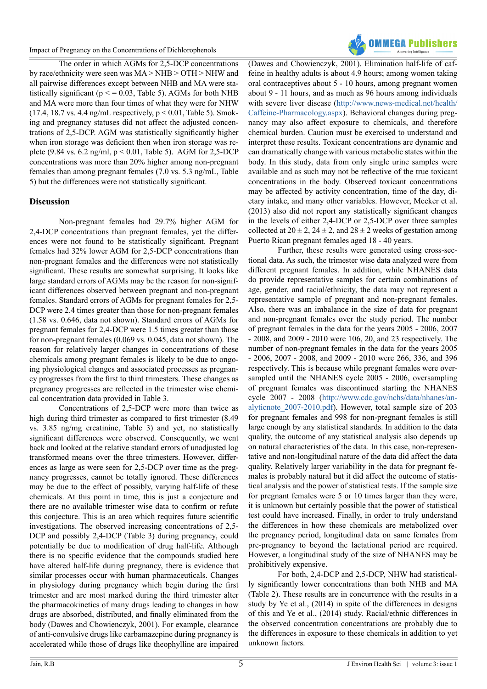The order in which AGMs for 2,5-DCP concentrations by race/ethnicity were seen was MA > NHB > OTH > NHW and all pairwise differences except between NHB and MA were statistically significant ( $p \le 0.03$ , Table 5). AGMs for both NHB and MA were more than four times of what they were for NHW  $(17.4, 18.7 \text{ vs. } 4.4 \text{ ng/mL respectively, } p \le 0.01$ , Table 5). Smoking and pregnancy statuses did not affect the adjusted concentrations of 2,5-DCP. AGM was statistically significantly higher when iron storage was deficient then when iron storage was replete (9.84 vs. 6.2 ng/ml,  $p < 0.01$ , Table 5). AGM for 2,5-DCP concentrations was more than 20% higher among non-pregnant females than among pregnant females (7.0 vs. 5.3 ng/mL, Table 5) but the differences were not statistically significant.

# **Discussion**

Non-pregnant females had 29.7% higher AGM for 2,4-DCP concentrations than pregnant females, yet the differences were not found to be statistically significant. Pregnant females had 32% lower AGM for 2,5-DCP concentrations than non-pregnant females and the differences were not statistically significant. These results are somewhat surprising. It looks like large standard errors of AGMs may be the reason for non-significant differences observed between pregnant and non-pregnant females. Standard errors of AGMs for pregnant females for 2,5- DCP were 2.4 times greater than those for non-pregnant females (1.58 vs. 0.646, data not shown). Standard errors of AGMs for pregnant females for 2,4-DCP were 1.5 times greater than those for non-pregnant females (0.069 vs. 0.045, data not shown). The reason for relatively larger changes in concentrations of these chemicals among pregnant females is likely to be due to ongoing physiological changes and associated processes as pregnancy progresses from the first to third trimesters. These changes as pregnancy progresses are reflected in the trimester wise chemical concentration data provided in Table 3.

Concentrations of 2,5-DCP were more than twice as high during third trimester as compared to first trimester (8.49 vs. 3.85 ng/mg creatinine, Table 3) and yet, no statistically significant differences were observed. Consequently, we went back and looked at the relative standard errors of unadjusted log transformed means over the three trimesters. However, differences as large as were seen for 2,5-DCP over time as the pregnancy progresses, cannot be totally ignored. These differences may be due to the effect of possibly, varying half-life of these chemicals. At this point in time, this is just a conjecture and there are no available trimester wise data to confirm or refute this conjecture. This is an area which requires future scientific investigations. The observed increasing concentrations of 2,5- DCP and possibly 2,4-DCP (Table 3) during pregnancy, could potentially be due to modification of drug half-life. Although there is no specific evidence that the compounds studied here have altered half-life during pregnancy, there is evidence that similar processes occur with human pharmaceuticals. Changes in physiology during pregnancy which begin during the first trimester and are most marked during the third trimester alter the pharmacokinetics of many drugs leading to changes in how drugs are absorbed, distributed, and finally eliminated from the body (Dawes and Chowienczyk, 2001). For example, clearance of anti-convulsive drugs like carbamazepine during pregnancy is accelerated while those of drugs like theophylline are impaired



(Dawes and Chowienczyk, 2001). Elimination half-life of caffeine in healthy adults is about 4.9 hours; among women taking oral contraceptives about 5 - 10 hours, among pregnant women about 9 - 11 hours, and as much as 96 hours among individuals with severe liver disease ([http://www.news-medical.net/health/](http://www.news-medical.net/health/Caffeine-Pharmacology.aspx) [Caffeine-Pharmacology.aspx](http://www.news-medical.net/health/Caffeine-Pharmacology.aspx)). Behavioral changes during pregnancy may also affect exposure to chemicals, and therefore chemical burden. Caution must be exercised to understand and interpret these results. Toxicant concentrations are dynamic and can dramatically change with various metabolic states within the body. In this study, data from only single urine samples were available and as such may not be reflective of the true toxicant concentrations in the body. Observed toxicant concentrations may be affected by activity concentration, time of the day, dietary intake, and many other variables. However, Meeker et al. (2013) also did not report any statistically significant changes in the levels of either 2,4-DCP or 2,5-DCP over three samples collected at  $20 \pm 2$ ,  $24 \pm 2$ , and  $28 \pm 2$  weeks of gestation among Puerto Rican pregnant females aged 18 - 40 years.

Further, these results were generated using cross-sectional data. As such, the trimester wise data analyzed were from different pregnant females. In addition, while NHANES data do provide representative samples for certain combinations of age, gender, and racial/ethnicity, the data may not represent a representative sample of pregnant and non-pregnant females. Also, there was an imbalance in the size of data for pregnant and non-pregnant females over the study period. The number of pregnant females in the data for the years 2005 - 2006, 2007 - 2008, and 2009 - 2010 were 106, 20, and 23 respectively. The number of non-pregnant females in the data for the years 2005 - 2006, 2007 - 2008, and 2009 - 2010 were 266, 336, and 396 respectively. This is because while pregnant females were oversampled until the NHANES cycle 2005 - 2006, oversampling of pregnant females was discontinued starting the NHANES cycle 2007 - 2008 ([http://www.cdc.gov/nchs/data/nhanes/an](http://www.cdc.gov/nchs/data/nhanes/analyticnote_2007-2010.pdf)[alyticnote\\_2007-2010.pdf](http://www.cdc.gov/nchs/data/nhanes/analyticnote_2007-2010.pdf)). However, total sample size of 203 for pregnant females and 998 for non-pregnant females is still large enough by any statistical standards. In addition to the data quality, the outcome of any statistical analysis also depends up on natural characteristics of the data. In this case, non-representative and non-longitudinal nature of the data did affect the data quality. Relatively larger variability in the data for pregnant females is probably natural but it did affect the outcome of statistical analysis and the power of statistical tests. If the sample size for pregnant females were 5 or 10 times larger than they were, it is unknown but certainly possible that the power of statistical test could have increased. Finally, in order to truly understand the differences in how these chemicals are metabolized over the pregnancy period, longitudinal data on same females from pre-pregnancy to beyond the lactational period are required. However, a longitudinal study of the size of NHANES may be prohibitively expensive.

For both, 2,4-DCP and 2,5-DCP, NHW had statistically significantly lower concentrations than both NHB and MA (Table 2). These results are in concurrence with the results in a study by Ye et al., (2014) in spite of the differences in designs of this and Ye et al., (2014) study. Racial/ethnic differences in the observed concentration concentrations are probably due to the differences in exposure to these chemicals in addition to yet unknown factors.